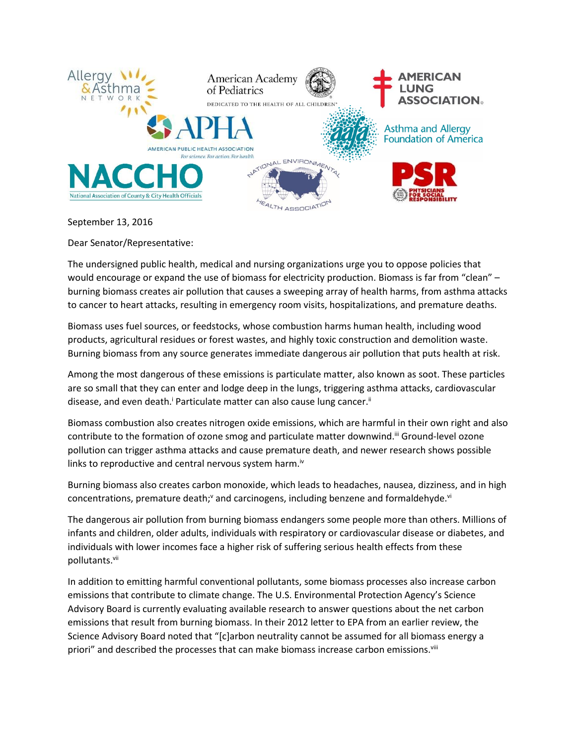

## September 13, 2016

Dear Senator/Representative:

The undersigned public health, medical and nursing organizations urge you to oppose policies that would encourage or expand the use of biomass for electricity production. Biomass is far from "clean" burning biomass creates air pollution that causes a sweeping array of health harms, from asthma attacks to cancer to heart attacks, resulting in emergency room visits, hospitalizations, and premature deaths.

Biomass uses fuel sources, or feedstocks, whose combustion harms human health, including wood products, agricultural residues or forest wastes, and highly toxic construction and demolition waste. Burning biomass from any source generates immediate dangerous air pollution that puts health at risk.

Among the most dangerous of these emissions is particulate matter, also known as soot. These particles are so small that they can enter and lodge deep in the lungs, triggering asthma attacks, cardiovascular disease, and even death.<sup>i</sup> Particulate matter can also cause lung cancer.<sup>ii</sup>

Biomass combustion also creates nitrogen oxide emissions, which are harmful in their own right and also contribute to the formation of ozone smog and particulate matter downwind.<sup>III</sup> Ground-level ozone pollution can trigger asthma attacks and cause premature death, and newer research shows possible links to reproductive and central nervous system harm.<sup>iv</sup>

Burning biomass also creates carbon monoxide, which leads to headaches, nausea, dizziness, and in high concentrations, premature death;<sup>y</sup> and carcinogens, including benzene and formaldehyde.<sup>vi</sup>

The dangerous air pollution from burning biomass endangers some people more than others. Millions of infants and children, older adults, individuals with respiratory or cardiovascular disease or diabetes, and individuals with lower incomes face a higher risk of suffering serious health effects from these pollutants.<sup>vii</sup>

In addition to emitting harmful conventional pollutants, some biomass processes also increase carbon emissions that contribute to climate change. The U.S. Environmental Protection Agency's Science Advisory Board is currently evaluating available research to answer questions about the net carbon emissions that result from burning biomass. In their 2012 letter to EPA from an earlier review, the Science Advisory Board noted that "[c]arbon neutrality cannot be assumed for all biomass energy a priori" and described the processes that can make biomass increase carbon emissions.<sup>viii</sup>